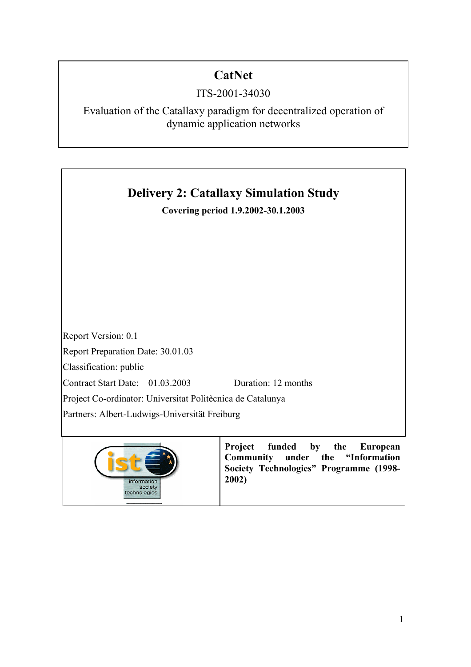# **CatNet**

# ITS-2001-34030

Evaluation of the Catallaxy paradigm for decentralized operation of dynamic application networks





**Project funded by the European Community under the "Information Society Technologies" Programme (1998- 2002)**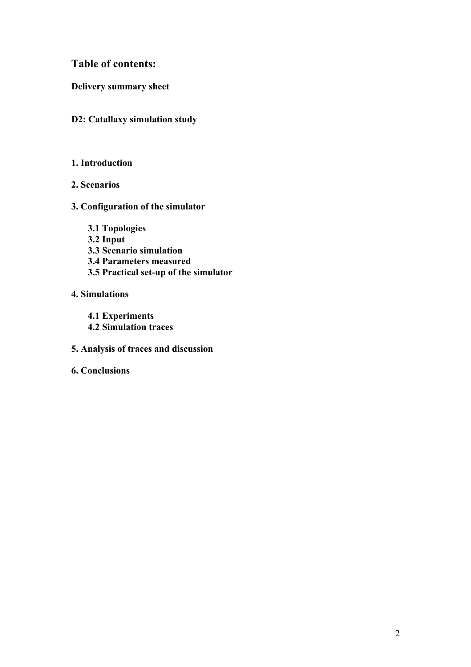# **Table of contents:**

**Delivery summary sheet** 

## **D2: Catallaxy simulation study**

### **1. Introduction**

- **2. Scenarios**
- **3. Configuration of the simulator** 
	- **3.1 Topologies**
	- **3.2 Input**
	- **3.3 Scenario simulation**
	- **3.4 Parameters measured**
	- **3.5 Practical set-up of the simulator**

# **4. Simulations**

**4.1 Experiments 4.2 Simulation traces** 

- **5. Analysis of traces and discussion**
- **6. Conclusions**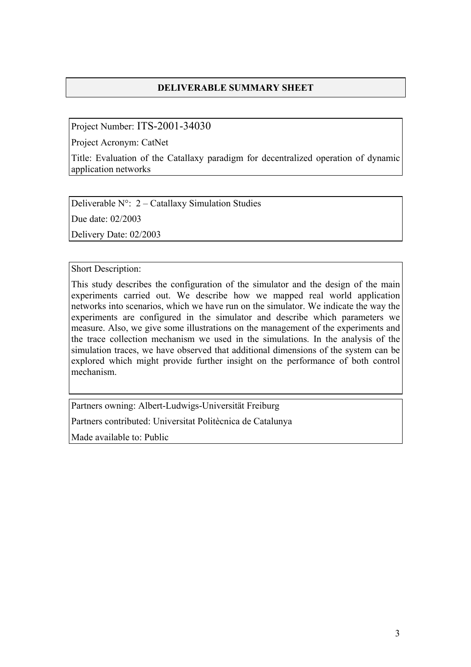# **DELIVERABLE SUMMARY SHEET**

Project Number: ITS-2001-34030

Project Acronym: CatNet

Title: Evaluation of the Catallaxy paradigm for decentralized operation of dynamic application networks

Deliverable  $N^{\circ}$ : 2 – Catallaxy Simulation Studies

Due date: 02/2003

Delivery Date: 02/2003

Short Description:

This study describes the configuration of the simulator and the design of the main experiments carried out. We describe how we mapped real world application networks into scenarios, which we have run on the simulator. We indicate the way the experiments are configured in the simulator and describe which parameters we measure. Also, we give some illustrations on the management of the experiments and the trace collection mechanism we used in the simulations. In the analysis of the simulation traces, we have observed that additional dimensions of the system can be explored which might provide further insight on the performance of both control mechanism.

Partners owning: Albert-Ludwigs-Universität Freiburg

Partners contributed: Universitat Politècnica de Catalunya

Made available to: Public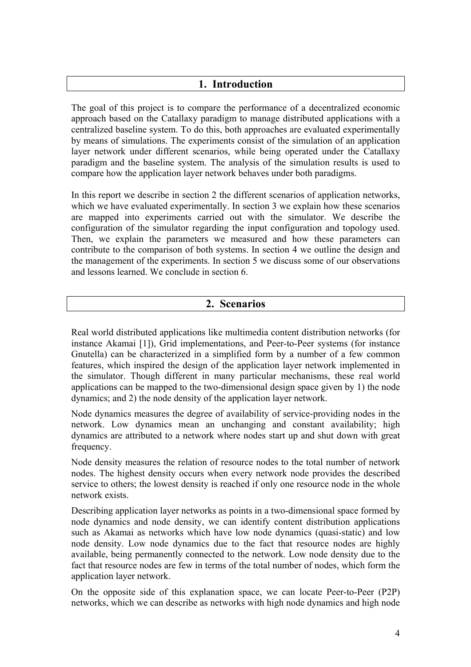## **1. Introduction**

The goal of this project is to compare the performance of a decentralized economic approach based on the Catallaxy paradigm to manage distributed applications with a centralized baseline system. To do this, both approaches are evaluated experimentally by means of simulations. The experiments consist of the simulation of an application layer network under different scenarios, while being operated under the Catallaxy paradigm and the baseline system. The analysis of the simulation results is used to compare how the application layer network behaves under both paradigms.

In this report we describe in section 2 the different scenarios of application networks, which we have evaluated experimentally. In section 3 we explain how these scenarios are mapped into experiments carried out with the simulator. We describe the configuration of the simulator regarding the input configuration and topology used. Then, we explain the parameters we measured and how these parameters can contribute to the comparison of both systems. In section 4 we outline the design and the management of the experiments. In section 5 we discuss some of our observations and lessons learned. We conclude in section 6.

### **2. Scenarios**

Real world distributed applications like multimedia content distribution networks (for instance Akamai [1]), Grid implementations, and Peer-to-Peer systems (for instance Gnutella) can be characterized in a simplified form by a number of a few common features, which inspired the design of the application layer network implemented in the simulator. Though different in many particular mechanisms, these real world applications can be mapped to the two-dimensional design space given by 1) the node dynamics; and 2) the node density of the application layer network.

Node dynamics measures the degree of availability of service-providing nodes in the network. Low dynamics mean an unchanging and constant availability; high dynamics are attributed to a network where nodes start up and shut down with great frequency.

Node density measures the relation of resource nodes to the total number of network nodes. The highest density occurs when every network node provides the described service to others; the lowest density is reached if only one resource node in the whole network exists.

Describing application layer networks as points in a two-dimensional space formed by node dynamics and node density, we can identify content distribution applications such as Akamai as networks which have low node dynamics (quasi-static) and low node density. Low node dynamics due to the fact that resource nodes are highly available, being permanently connected to the network. Low node density due to the fact that resource nodes are few in terms of the total number of nodes, which form the application layer network.

On the opposite side of this explanation space, we can locate Peer-to-Peer (P2P) networks, which we can describe as networks with high node dynamics and high node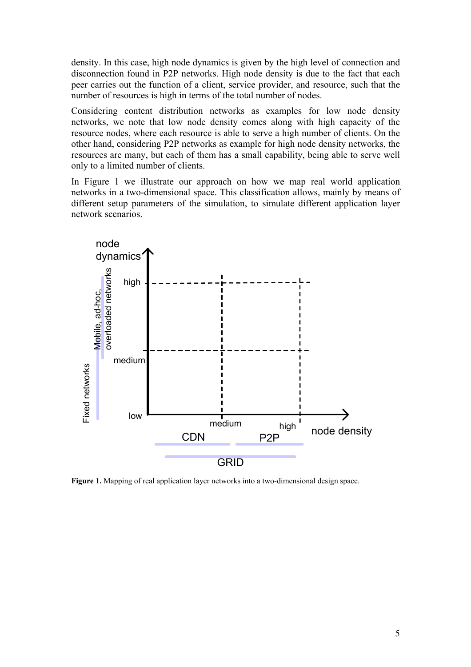density. In this case, high node dynamics is given by the high level of connection and disconnection found in P2P networks. High node density is due to the fact that each peer carries out the function of a client, service provider, and resource, such that the number of resources is high in terms of the total number of nodes.

Considering content distribution networks as examples for low node density networks, we note that low node density comes along with high capacity of the resource nodes, where each resource is able to serve a high number of clients. On the other hand, considering P2P networks as example for high node density networks, the resources are many, but each of them has a small capability, being able to serve well only to a limited number of clients.

In Figure 1 we illustrate our approach on how we map real world application networks in a two-dimensional space. This classification allows, mainly by means of different setup parameters of the simulation, to simulate different application layer network scenarios.



**Figure 1.** Mapping of real application layer networks into a two-dimensional design space.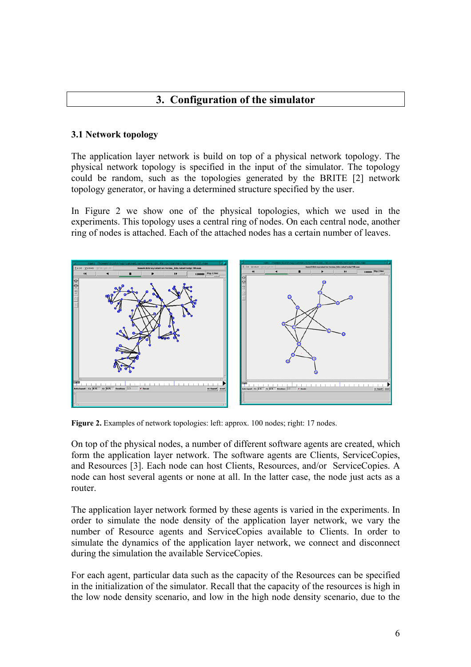# **3. Configuration of the simulator**

### **3.1 Network topology**

The application layer network is build on top of a physical network topology. The physical network topology is specified in the input of the simulator. The topology could be random, such as the topologies generated by the BRITE [2] network topology generator, or having a determined structure specified by the user.

In Figure 2 we show one of the physical topologies, which we used in the experiments. This topology uses a central ring of nodes. On each central node, another ring of nodes is attached. Each of the attached nodes has a certain number of leaves.



**Figure 2.** Examples of network topologies: left: approx. 100 nodes; right: 17 nodes.

On top of the physical nodes, a number of different software agents are created, which form the application layer network. The software agents are Clients, ServiceCopies, and Resources [3]. Each node can host Clients, Resources, and/or ServiceCopies. A node can host several agents or none at all. In the latter case, the node just acts as a router.

The application layer network formed by these agents is varied in the experiments. In order to simulate the node density of the application layer network, we vary the number of Resource agents and ServiceCopies available to Clients. In order to simulate the dynamics of the application layer network, we connect and disconnect during the simulation the available ServiceCopies.

For each agent, particular data such as the capacity of the Resources can be specified in the initialization of the simulator. Recall that the capacity of the resources is high in the low node density scenario, and low in the high node density scenario, due to the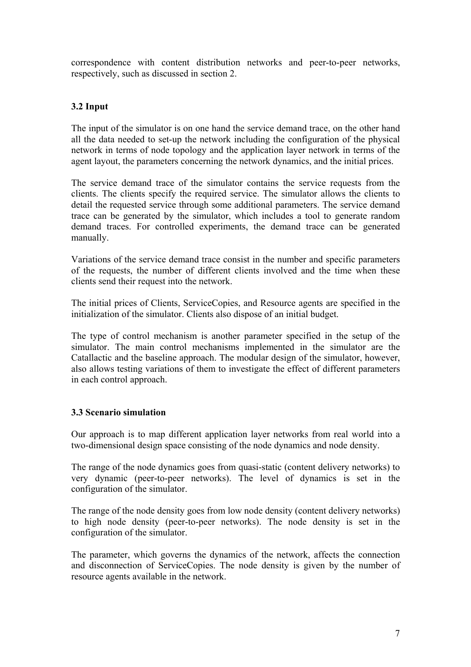correspondence with content distribution networks and peer-to-peer networks, respectively, such as discussed in section 2.

### **3.2 Input**

The input of the simulator is on one hand the service demand trace, on the other hand all the data needed to set-up the network including the configuration of the physical network in terms of node topology and the application layer network in terms of the agent layout, the parameters concerning the network dynamics, and the initial prices.

The service demand trace of the simulator contains the service requests from the clients. The clients specify the required service. The simulator allows the clients to detail the requested service through some additional parameters. The service demand trace can be generated by the simulator, which includes a tool to generate random demand traces. For controlled experiments, the demand trace can be generated manually.

Variations of the service demand trace consist in the number and specific parameters of the requests, the number of different clients involved and the time when these clients send their request into the network.

The initial prices of Clients, ServiceCopies, and Resource agents are specified in the initialization of the simulator. Clients also dispose of an initial budget.

The type of control mechanism is another parameter specified in the setup of the simulator. The main control mechanisms implemented in the simulator are the Catallactic and the baseline approach. The modular design of the simulator, however, also allows testing variations of them to investigate the effect of different parameters in each control approach.

### **3.3 Scenario simulation**

Our approach is to map different application layer networks from real world into a two-dimensional design space consisting of the node dynamics and node density.

The range of the node dynamics goes from quasi-static (content delivery networks) to very dynamic (peer-to-peer networks). The level of dynamics is set in the configuration of the simulator.

The range of the node density goes from low node density (content delivery networks) to high node density (peer-to-peer networks). The node density is set in the configuration of the simulator.

The parameter, which governs the dynamics of the network, affects the connection and disconnection of ServiceCopies. The node density is given by the number of resource agents available in the network.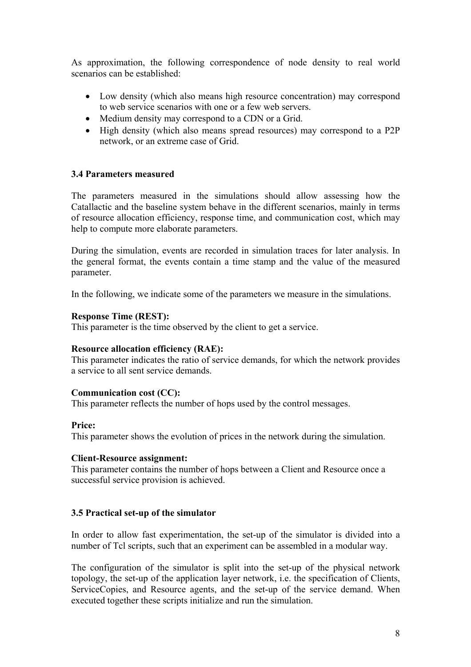As approximation, the following correspondence of node density to real world scenarios can be established:

- Low density (which also means high resource concentration) may correspond to web service scenarios with one or a few web servers.
- Medium density may correspond to a CDN or a Grid.
- High density (which also means spread resources) may correspond to a P2P network, or an extreme case of Grid.

### **3.4 Parameters measured**

The parameters measured in the simulations should allow assessing how the Catallactic and the baseline system behave in the different scenarios, mainly in terms of resource allocation efficiency, response time, and communication cost, which may help to compute more elaborate parameters.

During the simulation, events are recorded in simulation traces for later analysis. In the general format, the events contain a time stamp and the value of the measured parameter.

In the following, we indicate some of the parameters we measure in the simulations.

#### **Response Time (REST):**

This parameter is the time observed by the client to get a service.

#### **Resource allocation efficiency (RAE):**

This parameter indicates the ratio of service demands, for which the network provides a service to all sent service demands.

#### **Communication cost (CC):**

This parameter reflects the number of hops used by the control messages.

#### **Price:**

This parameter shows the evolution of prices in the network during the simulation.

#### **Client-Resource assignment:**

This parameter contains the number of hops between a Client and Resource once a successful service provision is achieved.

#### **3.5 Practical set-up of the simulator**

In order to allow fast experimentation, the set-up of the simulator is divided into a number of Tcl scripts, such that an experiment can be assembled in a modular way.

The configuration of the simulator is split into the set-up of the physical network topology, the set-up of the application layer network, i.e. the specification of Clients, ServiceCopies, and Resource agents, and the set-up of the service demand. When executed together these scripts initialize and run the simulation.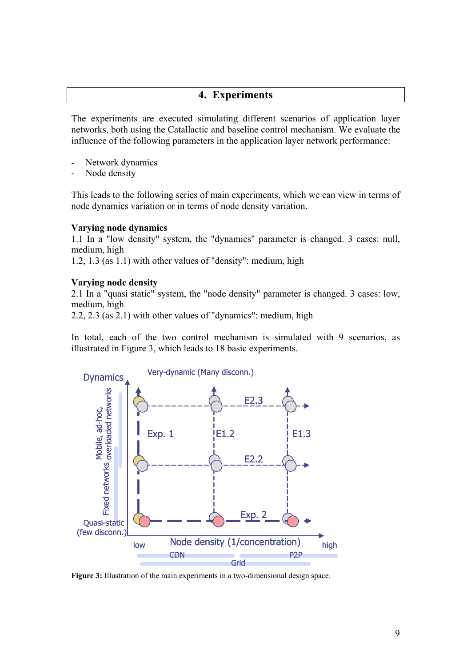# **4. Experiments**

The experiments are executed simulating different scenarios of application layer networks, both using the Catallactic and baseline control mechanism. We evaluate the influence of the following parameters in the application layer network performance:

- Network dynamics
- Node density

This leads to the following series of main experiments, which we can view in terms of node dynamics variation or in terms of node density variation.

#### **Varying node dynamics**

1.1 In a "low density" system, the "dynamics" parameter is changed. 3 cases: null, medium, high

1.2, 1.3 (as 1.1) with other values of "density": medium, high

#### **Varying node density**

2.1 In a "quasi static" system, the "node density" parameter is changed. 3 cases: low, medium, high

2.2, 2.3 (as 2.1) with other values of "dynamics": medium, high

In total, each of the two control mechanism is simulated with 9 scenarios, as illustrated in Figure 3, which leads to 18 basic experiments.



**Figure 3:** Illustration of the main experiments in a two-dimensional design space.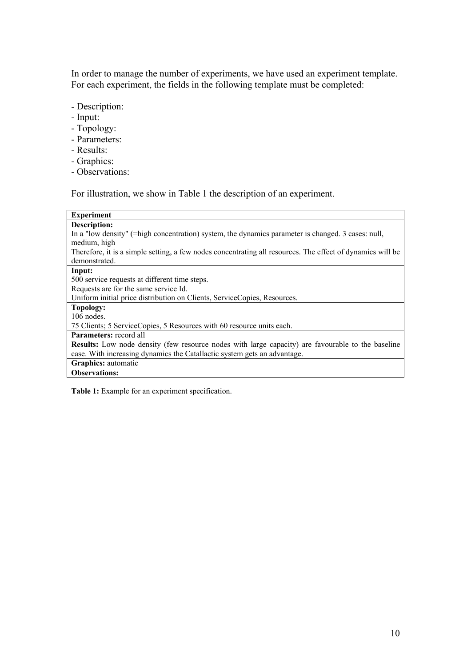In order to manage the number of experiments, we have used an experiment template. For each experiment, the fields in the following template must be completed:

- Description:
- Input:
- Topology:
- Parameters:
- Results:
- Graphics:
- Observations:

For illustration, we show in Table 1 the description of an experiment.

| <b>Experiment</b>                                                                                          |
|------------------------------------------------------------------------------------------------------------|
| <b>Description:</b>                                                                                        |
| In a "low density" (=high concentration) system, the dynamics parameter is changed. 3 cases: null,         |
| medium, high                                                                                               |
| Therefore, it is a simple setting, a few nodes concentrating all resources. The effect of dynamics will be |
| demonstrated.                                                                                              |
| Input:                                                                                                     |
| 500 service requests at different time steps.                                                              |
| Requests are for the same service Id.                                                                      |
| Uniform initial price distribution on Clients, ServiceCopies, Resources.                                   |
| Topology:                                                                                                  |
| $106$ nodes.                                                                                               |
| 75 Clients; 5 ServiceCopies, 5 Resources with 60 resource units each.                                      |
| <b>Parameters:</b> record all                                                                              |
| <b>Results:</b> Low node density (few resource nodes with large capacity) are favourable to the baseline   |
| case. With increasing dynamics the Catallactic system gets an advantage.                                   |
| Graphics: automatic                                                                                        |
| <b>Observations:</b>                                                                                       |

**Table 1:** Example for an experiment specification.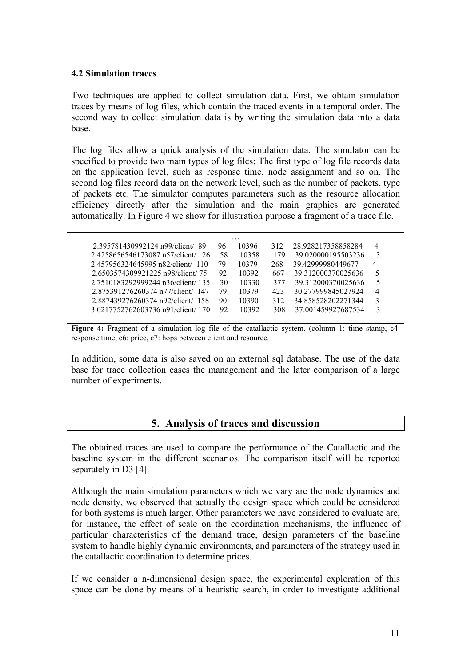#### **4.2 Simulation traces**

Two techniques are applied to collect simulation data. First, we obtain simulation traces by means of log files, which contain the traced events in a temporal order. The second way to collect simulation data is by writing the simulation data into a data base.

The log files allow a quick analysis of the simulation data. The simulator can be specified to provide two main types of log files: The first type of log file records data on the application level, such as response time, node assignment and so on. The second log files record data on the network level, such as the number of packets, type of packets etc. The simulator computes parameters such as the resource allocation efficiency directly after the simulation and the main graphics are generated automatically. In Figure 4 we show for illustration purpose a fragment of a trace file.

| 2.395781430992124 n99/client/89    | 96 | 10396 | 312 | 28.928217358858284 | 4              |
|------------------------------------|----|-------|-----|--------------------|----------------|
| 2.4258656546173087 n57/client/126  | 58 | 10358 | 179 | 39.020000195503236 | 3              |
| 2.457956324645995 n82/client/ 110  | 79 | 10379 | 268 | 39.42999980449677  | $\overline{4}$ |
| 2.6503574309921225 n98/client/ 75  | 92 | 10392 | 667 | 39.312000370025636 | 5              |
| 2.7510183292999244 n36/client/135  | 30 | 10330 | 377 | 39.312000370025636 | 5              |
| 2.875391276260374 n77/client/ 147  | 79 | 10379 | 423 | 30.277999845027924 | 4              |
| 2.887439276260374 n92/client/ 158  | 90 | 10390 | 312 | 34.858528202271344 | 3              |
| 3.0217752762603736 n91/client/ 170 | 92 | 10392 | 308 | 37.001459927687534 | 3              |

**Figure 4:** Fragment of a simulation log file of the catallactic system. (column 1: time stamp, c4: response time, c6: price, c7: hops between client and resource.

In addition, some data is also saved on an external sql database. The use of the data base for trace collection eases the management and the later comparison of a large number of experiments.

### **5. Analysis of traces and discussion**

The obtained traces are used to compare the performance of the Catallactic and the baseline system in the different scenarios. The comparison itself will be reported separately in D3 [4].

Although the main simulation parameters which we vary are the node dynamics and node density, we observed that actually the design space which could be considered for both systems is much larger. Other parameters we have considered to evaluate are, for instance, the effect of scale on the coordination mechanisms, the influence of particular characteristics of the demand trace, design parameters of the baseline system to handle highly dynamic environments, and parameters of the strategy used in the catallactic coordination to determine prices.

If we consider a n-dimensional design space, the experimental exploration of this space can be done by means of a heuristic search, in order to investigate additional